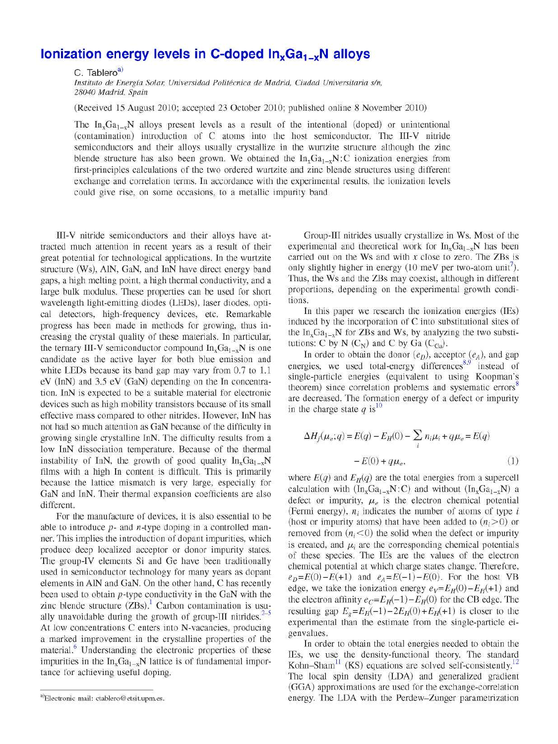## **Ionization energy levels in C-doped**  $\ln_{x}Ga_{1-x}N$  **alloys**

C. Tablero<sup>a)</sup>

*Instituto de Energía Solar, Universidad Politécnica de Madrid, Ciudad Universitaria s/n, 28040 Madrid, Spain* 

(Received 15 August 2010; accepted 23 October 2010; published online 8 November 2010)

The  $In_xGa_{1-x}N$  alloys present levels as a result of the intentional (doped) or unintentional (contamination) introduction of C atoms into the host semiconductor. The III-V nitride semiconductors and their alloys usually crystallize in the wurtzite structure although the zinc blende structure has also been grown. We obtained the  $In_xGa_{1-x}N:C$  ionization energies from first-principles calculations of the two ordered wurtzite and zinc blende structures using different exchange and correlation terms. In accordance with the experimental results, the ionization levels could give rise, on some occasions, to a metallic impurity band

III-V nitride semiconductors and their alloys have attracted much attention in recent years as a result of their great potential for technological applications. In the wurtzite structure (Ws), AIN, GaN, and InN have direct energy band gaps, a high melting point, a high thermal conductivity, and a large bulk modulus. These properties can be used for short wavelength light-emitting diodes (LEDs), láser diodes, optical detectors, high-frequency devices, etc. Remarkable progress has been made in methods for growing, thus increasing the crystal quality of these materials. In particular, the ternary III-V semiconductor compound  $In_xGa_{1-x}N$  is one candidate as the active layer for both blue emission and white LEDs because its band gap may vary from 0.7 to 1.1 eV (InN) and 3.5 eV (GaN) depending on the In concentration. InN is expected to be a suitable material for electronic devices such as high mobility transistors because of its small effective mass compared to other nitrides. However, InN has not had so much attention as GaN because of the difficulty in growing single crystalline InN. The difficulty results from a low InN dissociation temperature. Because of the thermal instability of InN, the growth of good quality  $In_xGa_{1-x}N$ films with a high In content is difficult. This is primarily because the lattice mismatch is very large, especially for GaN and InN. Their thermal expansión coefficients are also different.

For the manufacture of devices, it is also essential to be able to introduce *p*- and *n*-type doping in a controlled manner. This implies the introduction of dopant impurities, which produce deep localized acceptor or donor impurity states. The group-IV elements Si and Ge have been traditionally used in semiconductor technology for many years as dopant elements in AIN and GaN. On the other hand, C has recently been used to obtain p-type conductivity in the GaN with the zinc blende structure  $(ZBs)$ .<sup>1</sup> Carbon contamination is usually unavoidable during the growth of group-III nitrides. $2-5$ At low concentrations C enters into N-vacancies, producing a marked improvement in the crystalline properties of the material.<sup>6</sup> Understanding the electronic properties of these impurities in the  $In_xGa_{1-x}N$  lattice is of fundamental importance for achieving useful doping.

Group-III nitrides usually crystallize in Ws. Most of the experimental and theoretical work for  $In_xGa_{1-x}N$  has been carried out on the Ws and with *x* cióse to zero. The ZBs is only slightly higher in energy (10 meV per two-atom unit<sup>7</sup>). Thus, the Ws and the ZBs may coexist, although in different proportions, depending on the experimental growth conditions.

In this paper we research the ionization energies (IEs) induced by the incorporation of C into substitutional sites of the  $In_xGa_{1-x}N$  for ZBs and Ws, by analyzing the two substitutions: C by N  $(C_N)$  and C by Ga  $(C_{Ga})$ .

In order to obtain the donor  $(e_D)$ , acceptor  $(e_A)$ , and gap energies, we used total-energy differences<sup>8,9</sup> instead of single-particle energies (equivalent to using Koopman's theorem) since correlation problems and systematic errors<sup>8</sup> are decreased. The formation energy of a defect or impurity in the charge state  $q$  is<sup>10</sup>

$$
\Delta H_f(\mu_e; q) = E(q) - E_H(0) - \sum_i n_i \mu_i + q \mu_e = E(q)
$$
  
- E(0) + q \mu\_e, (1)

where  $E(q)$  and  $E<sub>H</sub>(q)$  are the total energies from a supercell calculation with  $(In_xGa_{1-x}N:C)$  and without  $(In_xGa_{1-x}N)$  a defect or impurity,  $\mu_e$  is the electron chemical potential (Fermi energy), *n¡* indicates the number of atoms of type *i*  (host or impurity atoms) that have been added to  $(n_i>0)$  or removed from  $(n_i < 0)$  the solid when the defect or impurity is created, and  $\mu_i$  are the corresponding chemical potentials of these species. The IEs are the values of the electron chemical potential at which charge states change. Therefore,  $e<sub>D</sub>=E(0)-E(+1)$  and  $e<sub>A</sub>=E(-1)-E(0)$ . For the host VB edge, we take the ionization energy  $e_V = E_H(0) - E_H(+1)$  and the electron affinity  $e_C = E_H(-1) - E_H(0)$  for the CB edge. The resulting gap  $E_g = E_H(-1) - 2E_H(0) + E_H(+1)$  is closer to the experimental than the estímate from the single-particle eigenvalues.

In order to obtain the total energies needed to obtain the IEs, we use the density-functional theory. The standard Kohn–Sham<sup>11</sup> (KS) equations are solved self-consistently.<sup>12</sup> The local spin density (LDA) and generalized gradient (GGA) approximations are used for the exchange-correlation energy. The LDA with the Perdew-Zunger parametrization

<sup>&</sup>lt;sup>a)</sup>Electronic mail: [ctablero@etsit.upm.es.](mailto:ctablero@etsit.upm.es)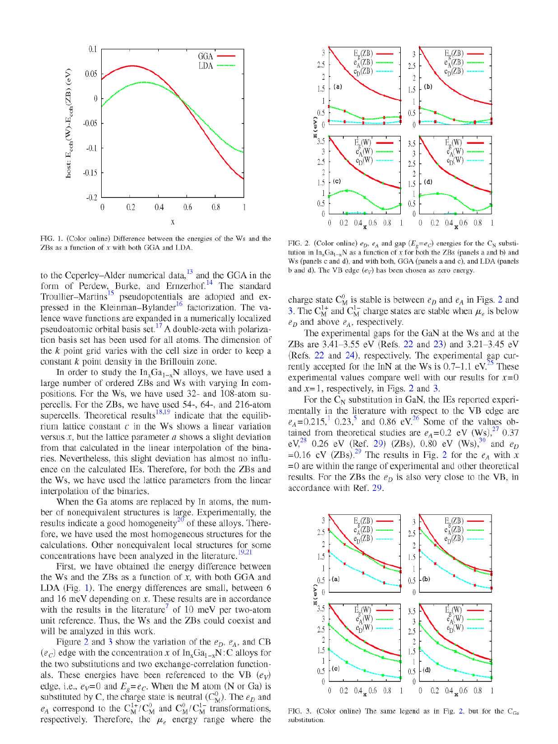

FIG. 1. (Color online) Difference between the energies of the Ws and the ZBs as a function of *x* with both GGA and LDA.

to the Ceperley–Alder numerical data, $13$  and the GGA in the form of Perdew, Burke, and Ernzerhof.<sup>14</sup> The standard Troullier–Martins<sup>15</sup> pseudopotentials are adopted and expressed in the Kleinman-Bylander<sup>16</sup> factorization. The valence wave functions are expanded in a numerically localized pseudoatomic orbital basis set.<sup>17</sup> A double-zeta with polarization basis set has been used for all atoms. The dimensión of the *k* point grid varies with the cell size in order to keep a constant *k* point density in the Brillouin zone.

In order to study the  $In_xGa_{1-x}N$  alloys, we have used a large number of ordered ZBs and Ws with varying In compositions. For the Ws, we have used 32- and 108-atom supercells. For the ZBs, we have used 54-, 64-, and 216-atom supercells. Theoretical results<sup>18,19</sup> indicate that the equilibrium lattice constant  $c$  in the Ws shows a linear variation versus *x,* but the lattice parameter *a* shows a slight deviation from that calculated in the linear interpolation of the binaries. Nevertheless, this slight deviation has almost no influence on the calculated IEs. Therefore, for both the ZBs and the Ws, we have used the lattice parameters from the linear interpolation of the binaries.

When the Ga atoms are replaced by In atoms, the number of nonequivalent structures is large. Experimentally, the results indicate a good homogeneity<sup>20</sup> of these alloys. Therefore, we have used the most homogeneous structures for the calculations. Other nonequivalent local structures for some calculations. Other nonequivalent local structures for some

concentrations have been analyzed in the literature.<br>19' Eirst wa baya obtained the energy difference bety First, we have obtained the energy difference between the Ws and the  $ZBs$  as a function of  $x$ , with both GGA and LDA (Fig. 1). The energy differences are small, between 6 and 16 meV depending on  $x$ . These results are in accordance with the results in the literature<sup>t</sup> of 10 meV per two-atom with the results in the literature of 10 meV per two-atom<br>unit reference. Thus, the Ws and the TRs could coevist and will be analyzed in this work.

Figure 2 and 3 show the variation of the  $e<sub>D</sub>$ ,  $e<sub>A</sub>$ , and CB  $(e_c)$  edge with the concentration x of  $\text{In}_x\text{Ga}_{1-x}\text{N}$ : C alloys for *the two substitutions and two exchange-correlation function*als. These energies have been referenced to the VB  $(e_v)$ edge, i.e.,  $e_V = 0$  and  $E_g = e_C$ . When the M atom (N or Ga) is substituted by C, the charge state is neutral ( $C^0_M$ ). The  $e_D$  and  $e_A$  correspond to the  $C_M^{1+}/C_M^0$  and  $C_M^{0}/C_M^{1-}$  transformations, respectively. Therefore, the  $\mu_e$  energy range where the



FIG. 2. (Color online)  $e_D$ ,  $e_A$  and gap ( $E_g = e_C$ ) energies for the C<sub>N</sub> substitution in  $In_xGa_{1-x}N$  as a function of x for both the ZBs (panels a and b) and Ws (panels c and d), and with both, GGA (panels a and c), and LDA (panels b and d). The VB edge *(ev)* has been chosen as zero energy.

charge state  $C^0_M$  is stable is between  $e_D$  and  $e_A$  in Figs. 2 and 3. The  $C_M^{\perp +}$  and  $C_M^{\perp -}$  charge states are stable when  $\mu_e$  is below *eD* and above *eA,* respectively.

The experimental gaps for the GaN at the Ws and at the ZBs are 3.41-3.55 eV (Refs. 22 and 23) and 3.21-3.45 eV (Refs. 22 and 24), respectively. The experimental gap currently accepted for the InN at the Ws is  $0.7-1.1$  eV.<sup>25</sup> These experimental values compare well with our results for  $x=0$ and  $x=1$ , respectively, in Figs. 2 and 3.

For the  $C_N$  substitution in GaN, the IEs reported experimentally in the literature with respect to the VB edge are  $e_A = 0.215$ ,  $\frac{1}{2}$  0.23, and 0.86 eV.<sup>26</sup> Some of the values obtained from theoretical studies are  $e_A = 0.2$  eV (Ws),<sup>27</sup> 0.37 eV,<sup>28</sup> 0.26 eV (Ref. 29) (ZBs), 0.80 eV (Ws),<sup>30</sup> and  $e_D$  $= 0.16$  eV (ZBs).<sup>29</sup> The results in Fig. 2 for the  $e_A$  with x =0 are within the range of experimental and other theoretical results. For the ZBs the  $e<sub>D</sub>$  is also very close to the VB, in accordance with Ref. 29.



FIG. 3. (Color online) The same legend as in Fig. 2, but for the  $C_{Ga}$ substitution.